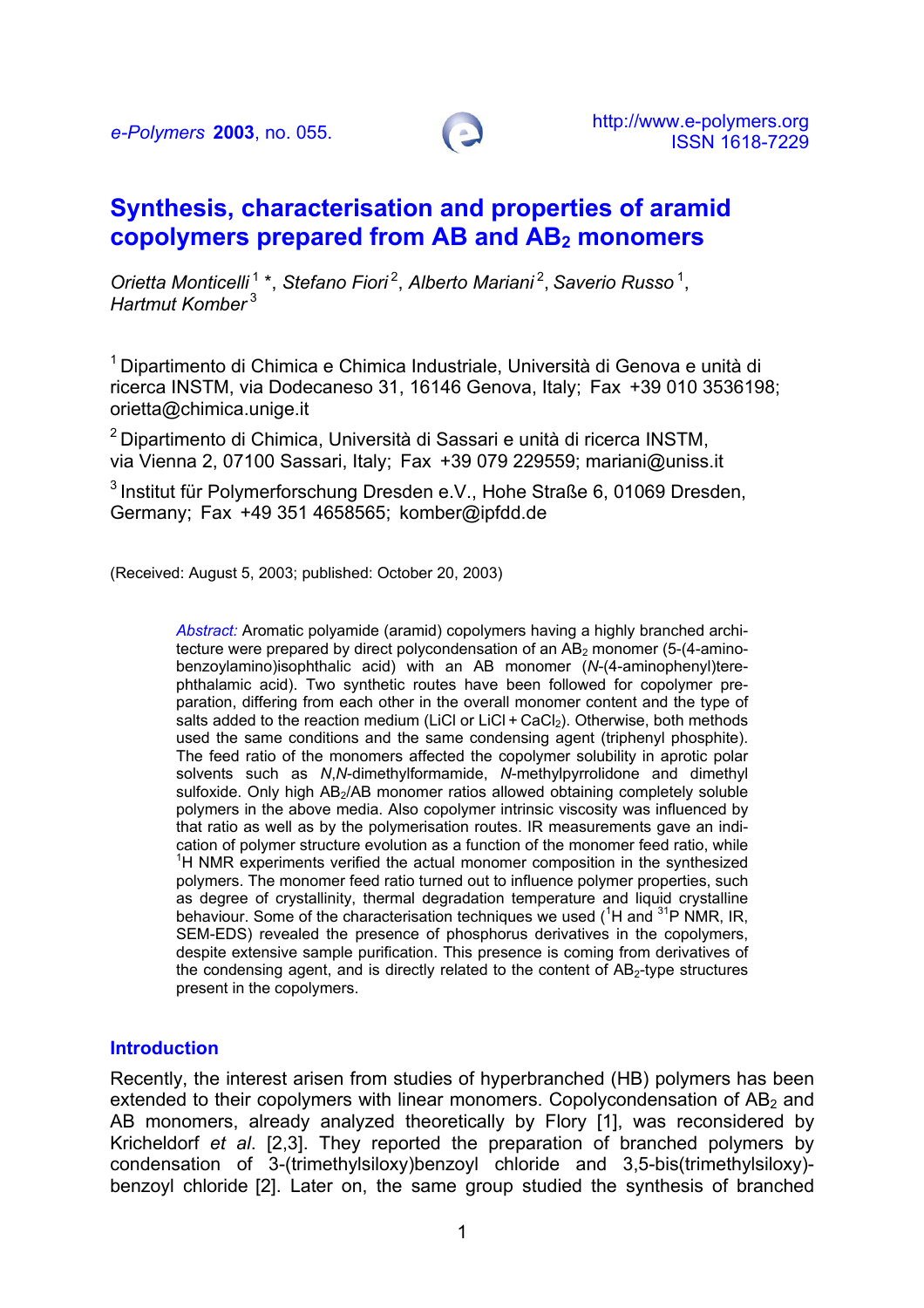

# **Synthesis, characterisation and properties of aramid copolymers prepared from AB and AB2 monomers**

*Orietta Monticelli* 1 \*, *Stefano Fiori* 2, *Alberto Mariani* 2, *Saverio Russo* 1, *Hartmut Komber* 3

1 Dipartimento di Chimica e Chimica Industriale, Università di Genova e unità di ricerca INSTM, via Dodecaneso 31, 16146 Genova, Italy; Fax +39 010 3536198; [orietta@chimica.unige.it](mailto:orietta@chimica.unige.it)

2 Dipartimento di Chimica, Università di Sassari e unità di ricerca INSTM, via Vienna 2, 07100 Sassari, Italy; Fax +39 079 229559; mariani@uniss.it

3 Institut für Polymerforschung Dresden e.V., Hohe Straße 6, 01069 Dresden, Germany; Fax +49 351 4658565; komber@ipfdd.de

(Received: August 5, 2003; published: October 20, 2003)

*Abstract:* Aromatic polyamide (aramid) copolymers having a highly branched architecture were prepared by direct polycondensation of an  $AB<sub>2</sub>$  monomer (5-(4-aminobenzoylamino)isophthalic acid) with an AB monomer (*N*-(4-aminophenyl)terephthalamic acid). Two synthetic routes have been followed for copolymer preparation, differing from each other in the overall monomer content and the type of salts added to the reaction medium (LiCl or LiCl + CaCl<sub>2</sub>). Otherwise, both methods used the same conditions and the same condensing agent (triphenyl phosphite). The feed ratio of the monomers affected the copolymer solubility in aprotic polar solvents such as *N*,*N*-dimethylformamide, *N*-methylpyrrolidone and dimethyl sulfoxide. Only high AB<sub>2</sub>/AB monomer ratios allowed obtaining completely soluble polymers in the above media. Also copolymer intrinsic viscosity was influenced by that ratio as well as by the polymerisation routes. IR measurements gave an indication of polymer structure evolution as a function of the monomer feed ratio, while <sup>1</sup>H NMR experiments verified the actual monomer composition in the synthesized polymers. The monomer feed ratio turned out to influence polymer properties, such as degree of crystallinity, thermal degradation temperature and liquid crystalline behaviour. Some of the characterisation techniques we used (<sup>1</sup>H and <sup>31</sup>P NMR, IR, SEM-EDS) revealed the presence of phosphorus derivatives in the copolymers, despite extensive sample purification. This presence is coming from derivatives of the condensing agent, and is directly related to the content of  $AB<sub>2</sub>$ -type structures present in the copolymers.

#### **Introduction**

Recently, the interest arisen from studies of hyperbranched (HB) polymers has been extended to their copolymers with linear monomers. Copolycondensation of  $AB<sub>2</sub>$  and AB monomers, already analyzed theoretically by Flory [1], was reconsidered by Kricheldorf *et al*. [2,3]. They reported the preparation of branched polymers by condensation of 3-(trimethylsiloxy)benzoyl chloride and 3,5-bis(trimethylsiloxy) benzoyl chloride [2]. Later on, the same group studied the synthesis of branched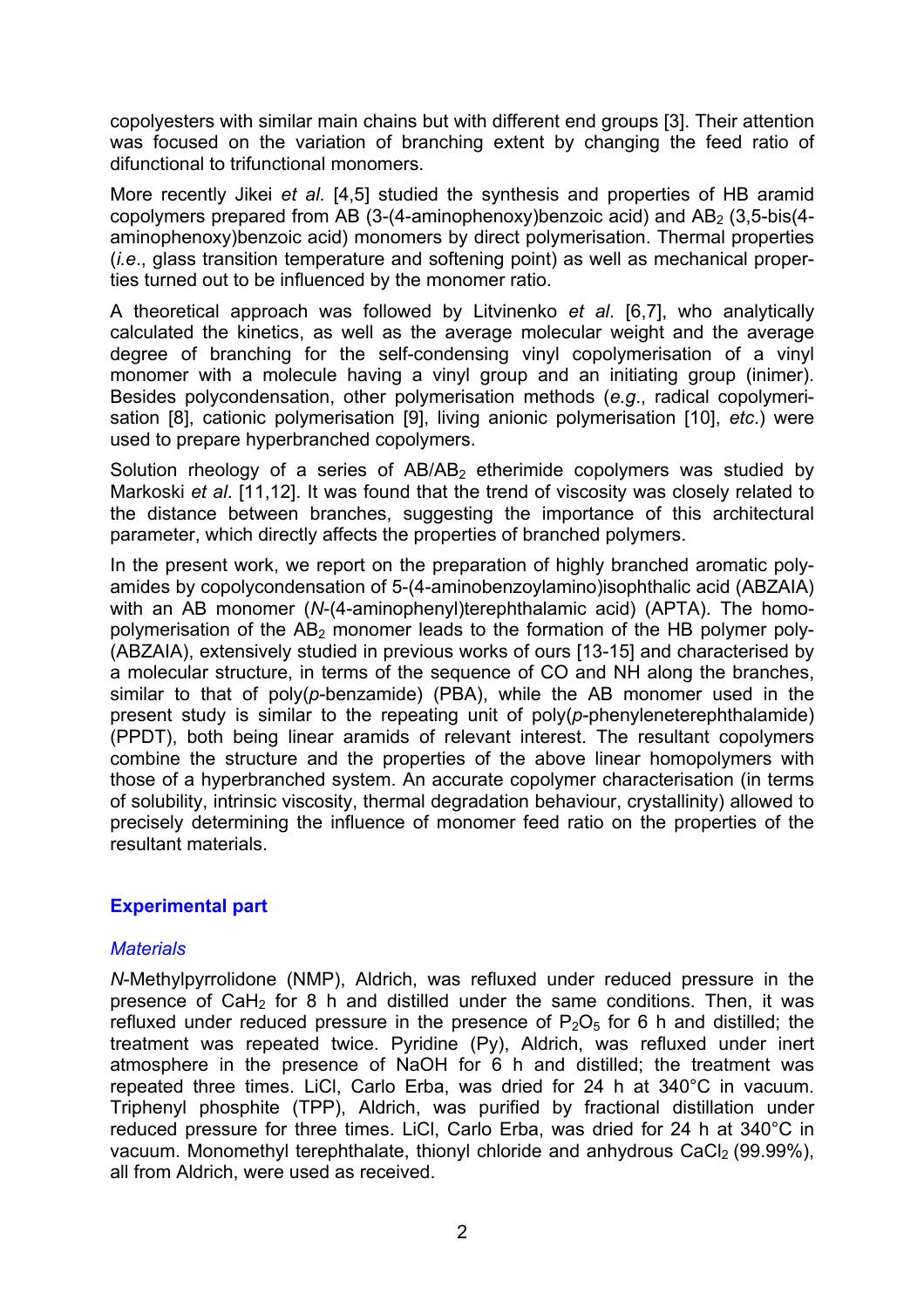copolyesters with similar main chains but with different end groups [3]. Their attention was focused on the variation of branching extent by changing the feed ratio of difunctional to trifunctional monomers.

More recently Jikei *et al*. [4,5] studied the synthesis and properties of HB aramid copolymers prepared from AB (3-(4-aminophenoxy)benzoic acid) and  $AB<sub>2</sub>$  (3,5-bis(4aminophenoxy)benzoic acid) monomers by direct polymerisation. Thermal properties (*i.e*., glass transition temperature and softening point) as well as mechanical properties turned out to be influenced by the monomer ratio.

A theoretical approach was followed by Litvinenko *et al*. [6,7], who analytically calculated the kinetics, as well as the average molecular weight and the average degree of branching for the self-condensing vinyl copolymerisation of a vinyl monomer with a molecule having a vinyl group and an initiating group (inimer). Besides polycondensation, other polymerisation methods (*e.g*., radical copolymerisation [8], cationic polymerisation [9], living anionic polymerisation [10], *etc*.) were used to prepare hyperbranched copolymers.

Solution rheology of a series of  $AB/AB$ <sub>2</sub> etherimide copolymers was studied by Markoski *et al*. [11,12]. It was found that the trend of viscosity was closely related to the distance between branches, suggesting the importance of this architectural parameter, which directly affects the properties of branched polymers.

In the present work, we report on the preparation of highly branched aromatic polyamides by copolycondensation of 5-(4-aminobenzoylamino)isophthalic acid (ABZAIA) with an AB monomer (*N*-(4-aminophenyl)terephthalamic acid) (APTA). The homopolymerisation of the  $AB_2$  monomer leads to the formation of the HB polymer poly-(ABZAIA), extensively studied in previous works of ours [13-15] and characterised by a molecular structure, in terms of the sequence of CO and NH along the branches, similar to that of poly(*p*-benzamide) (PBA), while the AB monomer used in the present study is similar to the repeating unit of poly(*p*-phenyleneterephthalamide) (PPDT), both being linear aramids of relevant interest. The resultant copolymers combine the structure and the properties of the above linear homopolymers with those of a hyperbranched system. An accurate copolymer characterisation (in terms of solubility, intrinsic viscosity, thermal degradation behaviour, crystallinity) allowed to precisely determining the influence of monomer feed ratio on the properties of the resultant materials.

# **Experimental part**

# *Materials*

*N*-Methylpyrrolidone (NMP), Aldrich, was refluxed under reduced pressure in the presence of CaH<sub>2</sub> for 8 h and distilled under the same conditions. Then, it was refluxed under reduced pressure in the presence of  $P_2O_5$  for 6 h and distilled; the treatment was repeated twice. Pyridine (Py), Aldrich, was refluxed under inert atmosphere in the presence of NaOH for 6 h and distilled; the treatment was repeated three times. LiCl, Carlo Erba, was dried for 24 h at 340°C in vacuum. Triphenyl phosphite (TPP), Aldrich, was purified by fractional distillation under reduced pressure for three times. LiCl, Carlo Erba, was dried for 24 h at 340°C in vacuum. Monomethyl terephthalate, thionyl chloride and anhydrous CaCl<sub>2</sub> (99.99%), all from Aldrich, were used as received.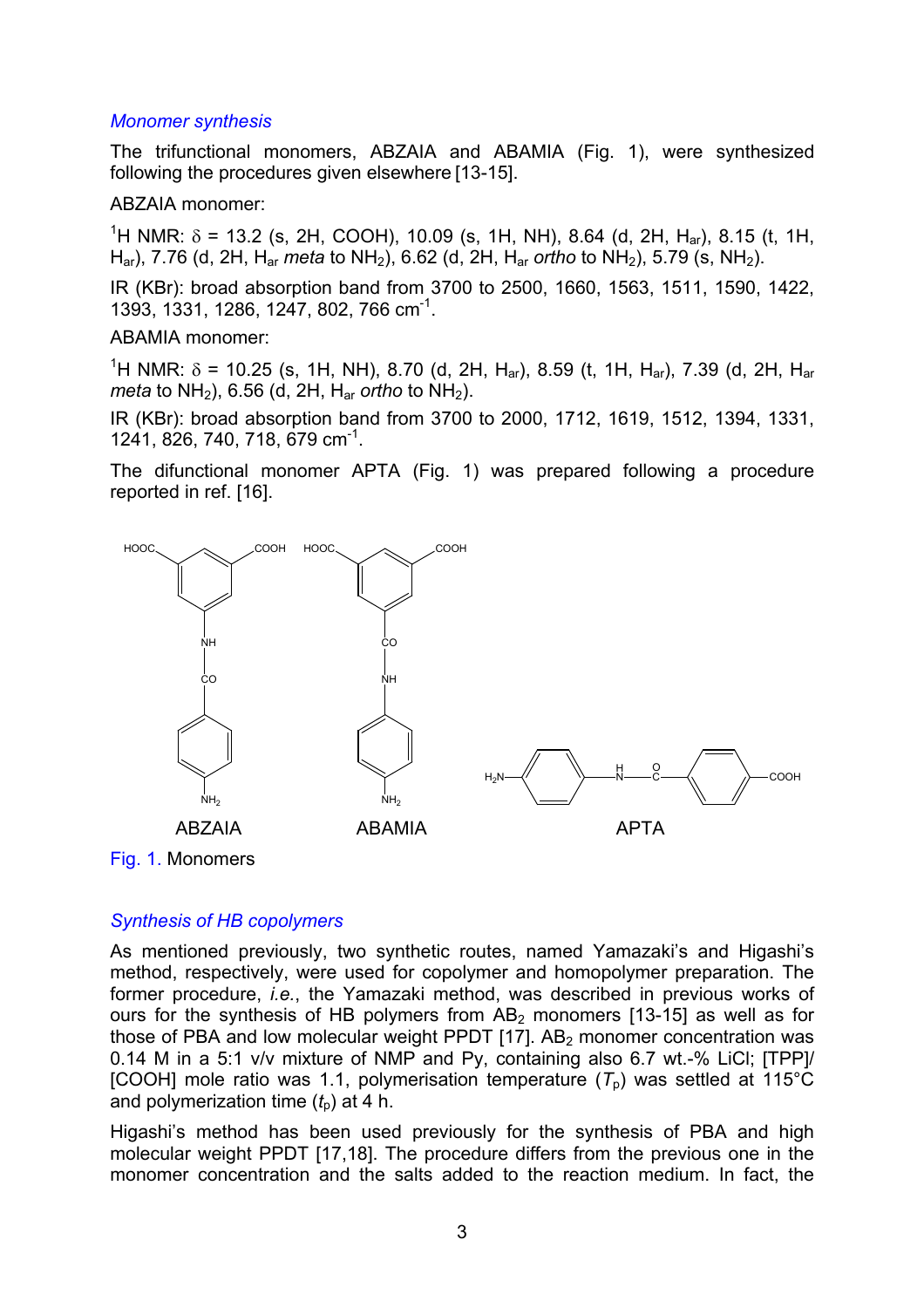## *Monomer synthesis*

The trifunctional monomers, ABZAIA and ABAMIA (Fig. 1), were synthesized following the procedures given elsewhere [13-15].

## ABZAIA monomer:

<sup>1</sup>H NMR: δ = 13.2 (s, 2H, COOH), 10.09 (s, 1H, NH), 8.64 (d, 2H, H<sub>ar</sub>), 8.15 (t, 1H, Har), 7.76 (d, 2H, Har *meta* to NH2), 6.62 (d, 2H, Har *ortho* to NH2), 5.79 (s, NH2).

IR (KBr): broad absorption band from 3700 to 2500, 1660, 1563, 1511, 1590, 1422, 1393, 1331, 1286, 1247, 802, 766 cm-1.

### ABAMIA monomer:

<sup>1</sup>H NMR: δ = 10.25 (s, 1H, NH), 8.70 (d, 2H, H<sub>ar</sub>), 8.59 (t, 1H, H<sub>ar</sub>), 7.39 (d, 2H, H<sub>ar</sub> *meta* to NH<sub>2</sub>), 6.56 (d, 2H, H<sub>ar</sub> *ortho* to NH<sub>2</sub>).

IR (KBr): broad absorption band from 3700 to 2000, 1712, 1619, 1512, 1394, 1331, 1241, 826, 740, 718, 679 cm-1.

The difunctional monomer APTA (Fig. 1) was prepared following a procedure reported in ref. [16].





## *Synthesis of HB copolymers*

As mentioned previously, two synthetic routes, named Yamazaki's and Higashi's method, respectively, were used for copolymer and homopolymer preparation. The former procedure, *i.e.*, the Yamazaki method, was described in previous works of ours for the synthesis of HB polymers from  $AB_2$  monomers [13-15] as well as for those of PBA and low molecular weight PPDT  $[17]$ . AB<sub>2</sub> monomer concentration was 0.14 M in a 5:1 v/v mixture of NMP and Py, containing also 6.7 wt.-% LiCl; [TPP]/  $[COOH]$  mole ratio was 1.1, polymerisation temperature  $(T<sub>n</sub>)$  was settled at 115<sup>°</sup>C and polymerization time  $(t_0)$  at 4 h.

Higashi's method has been used previously for the synthesis of PBA and high molecular weight PPDT [17,18]. The procedure differs from the previous one in the monomer concentration and the salts added to the reaction medium. In fact, the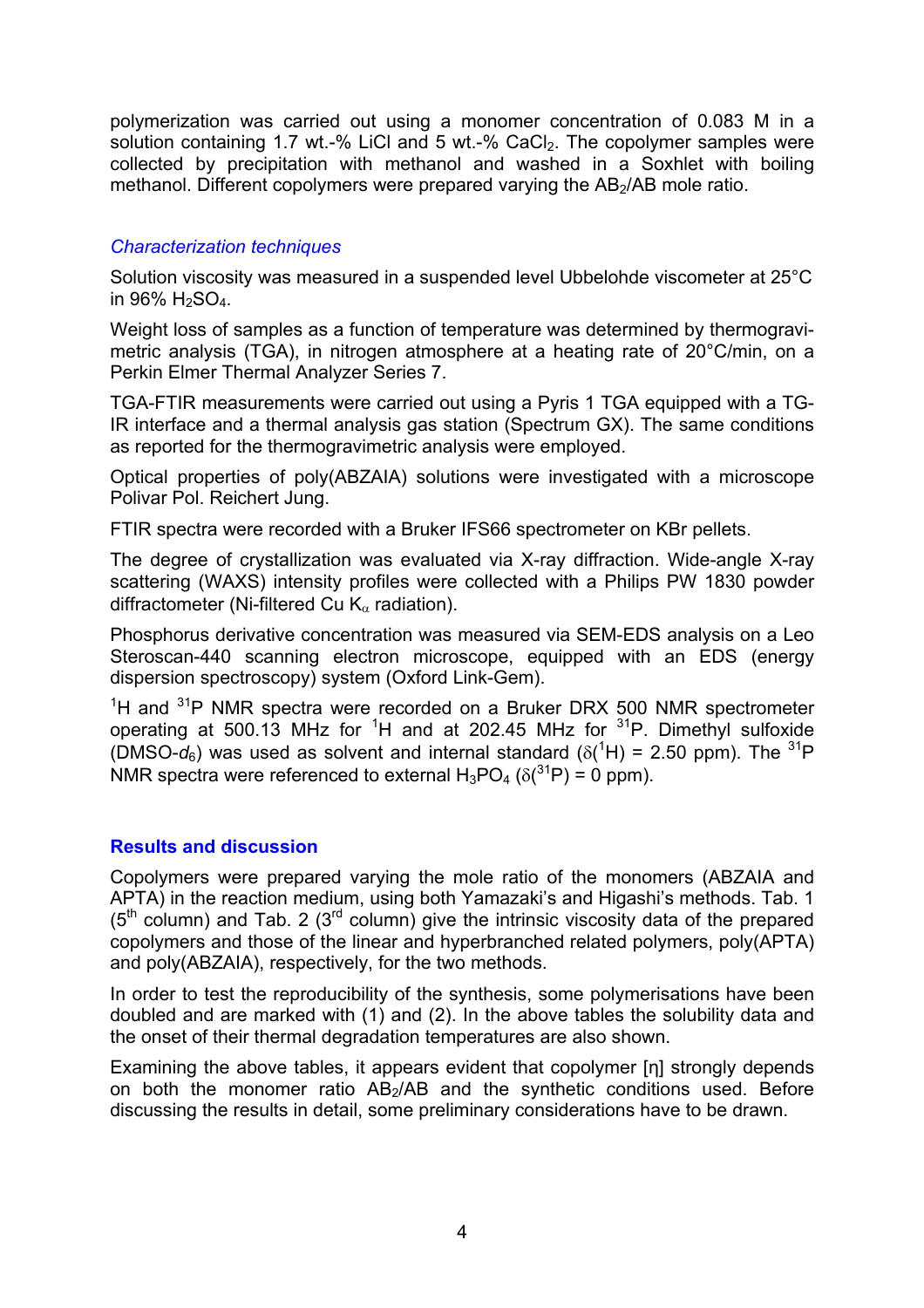polymerization was carried out using a monomer concentration of 0.083 M in a solution containing 1.7 wt.-% LiCl and 5 wt.-% CaCl<sub>2</sub>. The copolymer samples were collected by precipitation with methanol and washed in a Soxhlet with boiling methanol. Different copolymers were prepared varying the AB<sub>2</sub>/AB mole ratio.

## *Characterization techniques*

Solution viscosity was measured in a suspended level Ubbelohde viscometer at 25°C in  $96\%$  H<sub>2</sub>SO<sub>4</sub>.

Weight loss of samples as a function of temperature was determined by thermogravimetric analysis (TGA), in nitrogen atmosphere at a heating rate of 20°C/min, on a Perkin Elmer Thermal Analyzer Series 7.

TGA-FTIR measurements were carried out using a Pyris 1 TGA equipped with a TG-IR interface and a thermal analysis gas station (Spectrum GX). The same conditions as reported for the thermogravimetric analysis were employed.

Optical properties of poly(ABZAIA) solutions were investigated with a microscope Polivar Pol. Reichert Jung.

FTIR spectra were recorded with a Bruker IFS66 spectrometer on KBr pellets.

The degree of crystallization was evaluated via X-ray diffraction. Wide-angle X-ray scattering (WAXS) intensity profiles were collected with a Philips PW 1830 powder diffractometer (Ni-filtered Cu  $K_{\alpha}$  radiation).

Phosphorus derivative concentration was measured via SEM-EDS analysis on a Leo Steroscan-440 scanning electron microscope, equipped with an EDS (energy dispersion spectroscopy) system (Oxford Link-Gem).

 $1$ <sup>1</sup>H and  $31$ P NMR spectra were recorded on a Bruker DRX 500 NMR spectrometer operating at 500.13 MHz for <sup>1</sup>H and at 202.45 MHz for  $3^{1}P$ . Dimethyl sulfoxide (DMSO- $d_6$ ) was used as solvent and internal standard ( $\delta(^1H)$  = 2.50 ppm). The <sup>31</sup>P NMR spectra were referenced to external  $H_3PO_4$  ( $\delta(^{31}P)$  = 0 ppm).

## **Results and discussion**

Copolymers were prepared varying the mole ratio of the monomers (ABZAIA and APTA) in the reaction medium, using both Yamazaki's and Higashi's methods. Tab. 1  $(5<sup>th</sup>$  column) and Tab. 2 (3<sup>rd</sup> column) give the intrinsic viscosity data of the prepared copolymers and those of the linear and hyperbranched related polymers, poly(APTA) and poly(ABZAIA), respectively, for the two methods.

In order to test the reproducibility of the synthesis, some polymerisations have been doubled and are marked with (1) and (2). In the above tables the solubility data and the onset of their thermal degradation temperatures are also shown.

Examining the above tables, it appears evident that copolymer [n] strongly depends on both the monomer ratio  $AB_2/AB$  and the synthetic conditions used. Before discussing the results in detail, some preliminary considerations have to be drawn.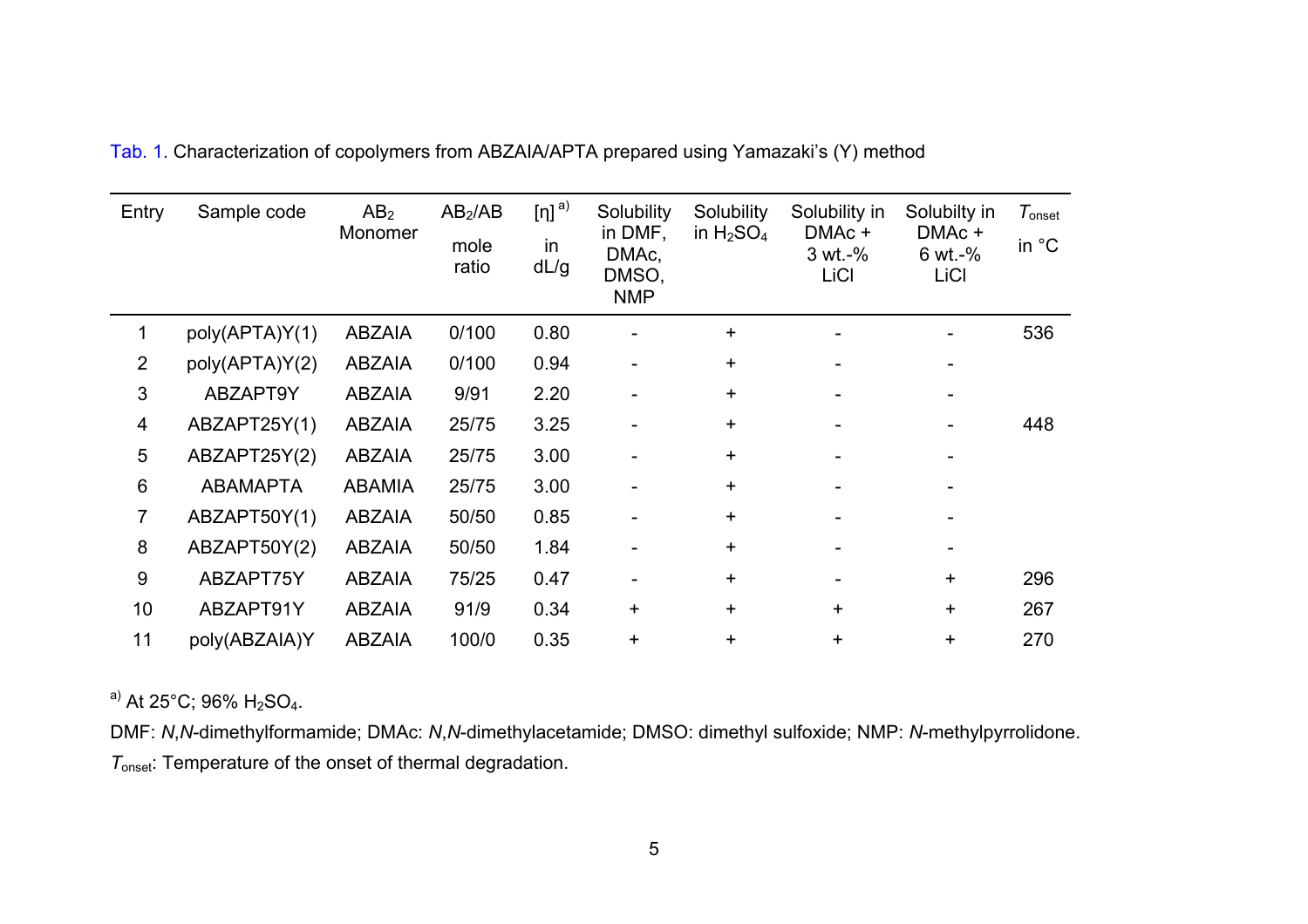| Entry          | Sample code     | AB <sub>2</sub><br>Monomer | AB <sub>2</sub> /AB<br>mole<br>ratio | $[n]$ <sup>a)</sup><br>in<br>dL/g | Solubility<br>in DMF,<br>DMAc,<br>DMSO,<br><b>NMP</b> | Solubility<br>in $H_2SO_4$ | Solubility in<br>DMAc +<br>3 wt.-%<br>LiCl | Solubilty in<br>DMAc +<br>$6 wt. -%$<br>LiCl | $\tau_{\text{\tiny onset}}$<br>in °C |
|----------------|-----------------|----------------------------|--------------------------------------|-----------------------------------|-------------------------------------------------------|----------------------------|--------------------------------------------|----------------------------------------------|--------------------------------------|
|                | poly(APTA)Y(1)  | <b>ABZAIA</b>              | 0/100                                | 0.80                              |                                                       | ٠.                         |                                            |                                              | 536                                  |
| $\overline{2}$ | poly(APTA)Y(2)  | <b>ABZAIA</b>              | 0/100                                | 0.94                              |                                                       | $\ddot{}$                  |                                            |                                              |                                      |
| 3              | ABZAPT9Y        | <b>ABZAIA</b>              | 9/91                                 | 2.20                              |                                                       | ÷.                         |                                            |                                              |                                      |
| 4              | ABZAPT25Y(1)    | <b>ABZAIA</b>              | 25/75                                | 3.25                              |                                                       | ÷                          |                                            |                                              | 448                                  |
| 5              | ABZAPT25Y(2)    | <b>ABZAIA</b>              | 25/75                                | 3.00                              |                                                       | ÷                          |                                            |                                              |                                      |
| 6              | <b>ABAMAPTA</b> | <b>ABAMIA</b>              | 25/75                                | 3.00                              |                                                       | ÷                          |                                            |                                              |                                      |
| 7              | ABZAPT50Y(1)    | <b>ABZAIA</b>              | 50/50                                | 0.85                              |                                                       | ÷                          |                                            |                                              |                                      |
| 8              | ABZAPT50Y(2)    | <b>ABZAIA</b>              | 50/50                                | 1.84                              |                                                       | ÷                          |                                            |                                              |                                      |
| 9              | ABZAPT75Y       | <b>ABZAIA</b>              | 75/25                                | 0.47                              |                                                       | ÷.                         |                                            | $\pm$                                        | 296                                  |
| 10             | ABZAPT91Y       | <b>ABZAIA</b>              | 91/9                                 | 0.34                              | $\ddot{}$                                             | $+$                        | $\ddot{}$                                  | +                                            | 267                                  |
| 11             | poly(ABZAIA)Y   | <b>ABZAIA</b>              | 100/0                                | 0.35                              | $\ddot{}$                                             | ٠                          | $\ddot{}$                                  | ٠                                            | 270                                  |

Tab. 1. Characterization of copolymers from ABZAIA/APTA prepared using Yamazaki's (Y) method

a) At  $25^{\circ}$ C; 96% H<sub>2</sub>SO<sub>4</sub>.

DMF: *N*,*N*-dimethylformamide; DMAc: *N*,*N*-dimethylacetamide; DMSO: dimethyl sulfoxide; NMP: *N*-methylpyrrolidone. *T*onset: Temperature of the onset of thermal degradation.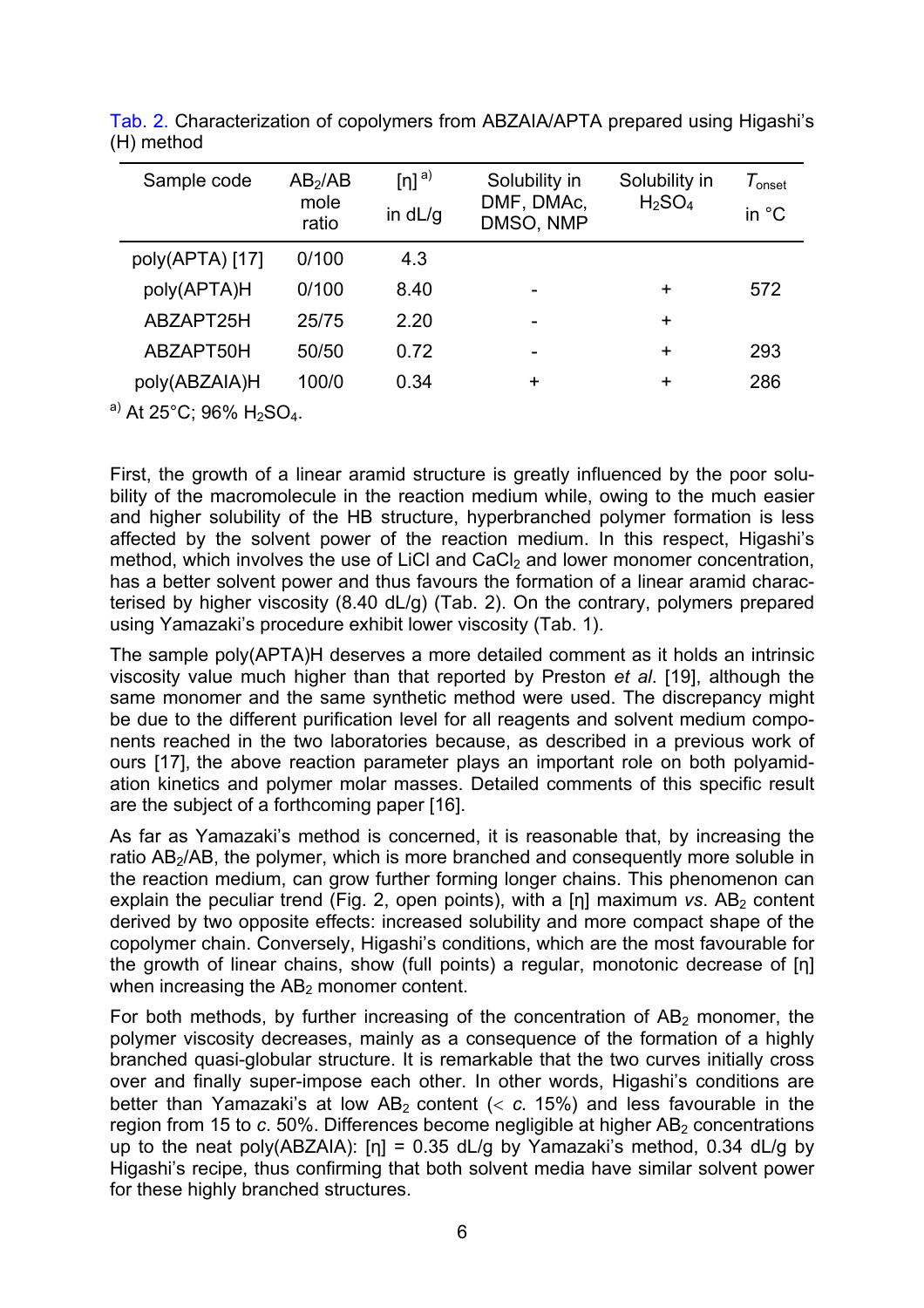| Sample code     | AB <sub>2</sub> /AB<br>mole<br>ratio | $[n]$ <sup>a)</sup><br>in $dL/g$ | Solubility in<br>DMF, DMAc,<br>DMSO, NMP | Solubility in<br>$H_2SO_4$ | $\tau_{\hbox{\tiny onset}}$<br>in $^{\circ}$ C |
|-----------------|--------------------------------------|----------------------------------|------------------------------------------|----------------------------|------------------------------------------------|
| poly(APTA) [17] | 0/100                                | 4.3                              |                                          |                            |                                                |
| poly(APTA)H     | 0/100                                | 8.40                             |                                          | ٠                          | 572                                            |
| ABZAPT25H       | 25/75                                | 2.20                             |                                          | $\ddot{}$                  |                                                |
| ABZAPT50H       | 50/50                                | 0.72                             | -                                        | $\ddot{}$                  | 293                                            |
| poly(ABZAIA)H   | 100/0                                | 0.34                             | ٠                                        | ٠                          | 286                                            |

Tab. 2. Characterization of copolymers from ABZAIA/APTA prepared using Higashi's (H) method

 $^{a)}$  At 25°C; 96% H<sub>2</sub>SO<sub>4</sub>.

First, the growth of a linear aramid structure is greatly influenced by the poor solubility of the macromolecule in the reaction medium while, owing to the much easier and higher solubility of the HB structure, hyperbranched polymer formation is less affected by the solvent power of the reaction medium. In this respect, Higashi's method, which involves the use of LiCl and  $CaCl<sub>2</sub>$  and lower monomer concentration, has a better solvent power and thus favours the formation of a linear aramid characterised by higher viscosity (8.40 dL/g) (Tab. 2). On the contrary, polymers prepared using Yamazaki's procedure exhibit lower viscosity (Tab. 1).

The sample poly(APTA)H deserves a more detailed comment as it holds an intrinsic viscosity value much higher than that reported by Preston *et al*. [19], although the same monomer and the same synthetic method were used. The discrepancy might be due to the different purification level for all reagents and solvent medium components reached in the two laboratories because, as described in a previous work of ours [17], the above reaction parameter plays an important role on both polyamidation kinetics and polymer molar masses. Detailed comments of this specific result are the subject of a forthcoming paper [16].

As far as Yamazaki's method is concerned, it is reasonable that, by increasing the ratio AB<sub>2</sub>/AB, the polymer, which is more branched and consequently more soluble in the reaction medium, can grow further forming longer chains. This phenomenon can explain the peculiar trend (Fig. 2, open points), with a  $[n]$  maximum *vs.* AB<sub>2</sub> content derived by two opposite effects: increased solubility and more compact shape of the copolymer chain. Conversely, Higashi's conditions, which are the most favourable for the growth of linear chains, show (full points) a regular, monotonic decrease of [η] when increasing the  $AB<sub>2</sub>$  monomer content.

For both methods, by further increasing of the concentration of  $AB<sub>2</sub>$  monomer, the polymer viscosity decreases, mainly as a consequence of the formation of a highly branched quasi-globular structure. It is remarkable that the two curves initially cross over and finally super-impose each other. In other words, Higashi's conditions are better than Yamazaki's at low  $AB_2$  content  $(< c. 15%)$  and less favourable in the region from 15 to *c*. 50%. Differences become negligible at higher AB<sub>2</sub> concentrations up to the neat poly(ABZAIA):  $[n] = 0.35$  dL/g by Yamazaki's method, 0.34 dL/g by Higashi's recipe, thus confirming that both solvent media have similar solvent power for these highly branched structures.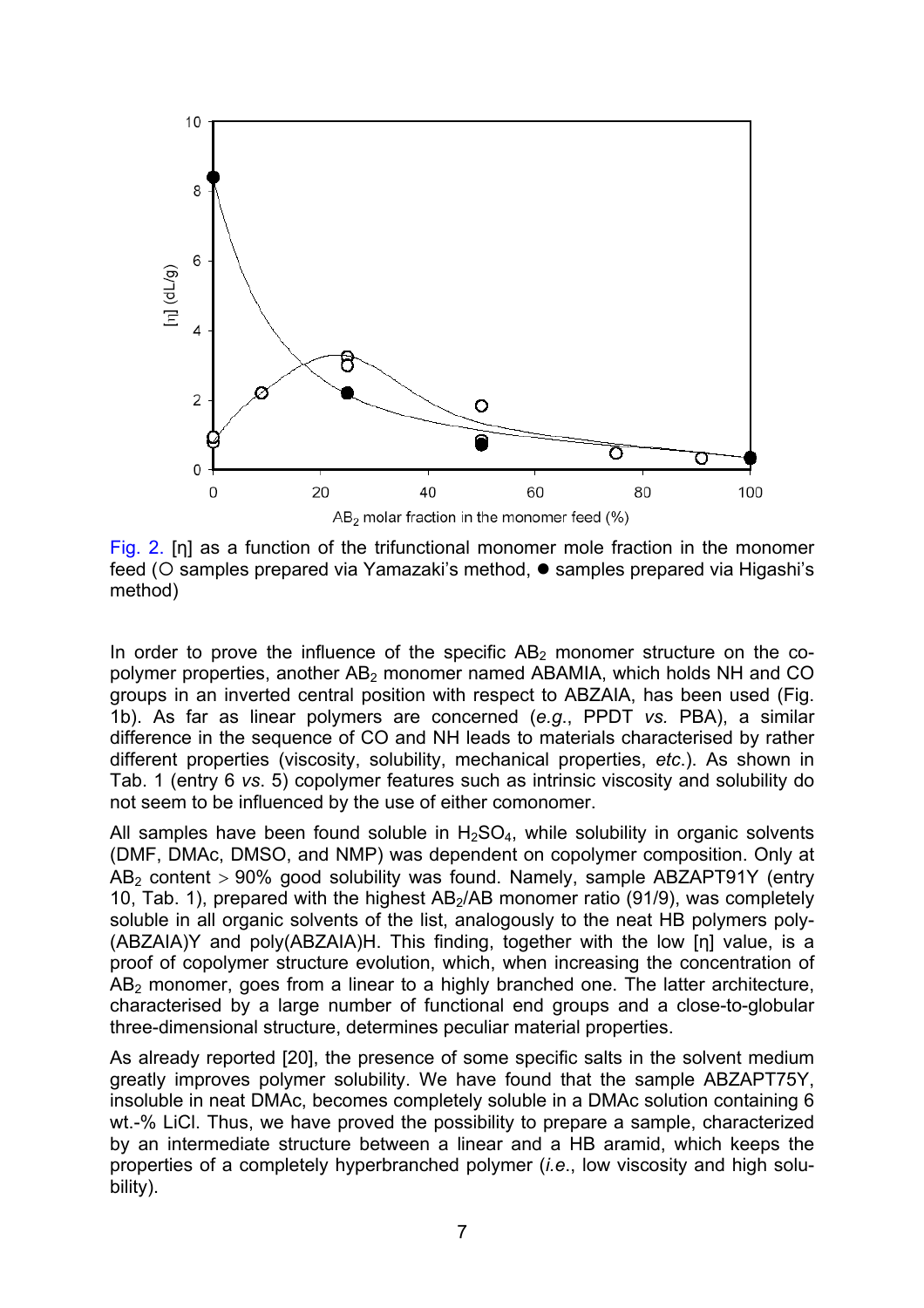

Fig. 2. [η] as a function of the trifunctional monomer mole fraction in the monomer feed (○ samples prepared via Yamazaki's method, ● samples prepared via Higashi's method)

In order to prove the influence of the specific  $AB_2$  monomer structure on the copolymer properties, another AB<sub>2</sub> monomer named ABAMIA, which holds NH and CO groups in an inverted central position with respect to ABZAIA, has been used (Fig. 1b). As far as linear polymers are concerned (*e.g*., PPDT *vs.* PBA), a similar difference in the sequence of CO and NH leads to materials characterised by rather different properties (viscosity, solubility, mechanical properties, *etc*.). As shown in Tab. 1 (entry 6 *vs*. 5) copolymer features such as intrinsic viscosity and solubility do not seem to be influenced by the use of either comonomer.

All samples have been found soluble in  $H_2SO_4$ , while solubility in organic solvents (DMF, DMAc, DMSO, and NMP) was dependent on copolymer composition. Only at  $AB<sub>2</sub>$  content  $> 90\%$  good solubility was found. Namely, sample ABZAPT91Y (entry 10, Tab. 1), prepared with the highest  $AB<sub>2</sub>/AB$  monomer ratio (91/9), was completely soluble in all organic solvents of the list, analogously to the neat HB polymers poly- (ABZAIA)Y and poly(ABZAIA)H. This finding, together with the low [η] value, is a proof of copolymer structure evolution, which, when increasing the concentration of  $AB<sub>2</sub>$  monomer, goes from a linear to a highly branched one. The latter architecture, characterised by a large number of functional end groups and a close-to-globular three-dimensional structure, determines peculiar material properties.

As already reported [20], the presence of some specific salts in the solvent medium greatly improves polymer solubility. We have found that the sample ABZAPT75Y, insoluble in neat DMAc, becomes completely soluble in a DMAc solution containing 6 wt.-% LiCl. Thus, we have proved the possibility to prepare a sample, characterized by an intermediate structure between a linear and a HB aramid, which keeps the properties of a completely hyperbranched polymer (*i.e*., low viscosity and high solubility).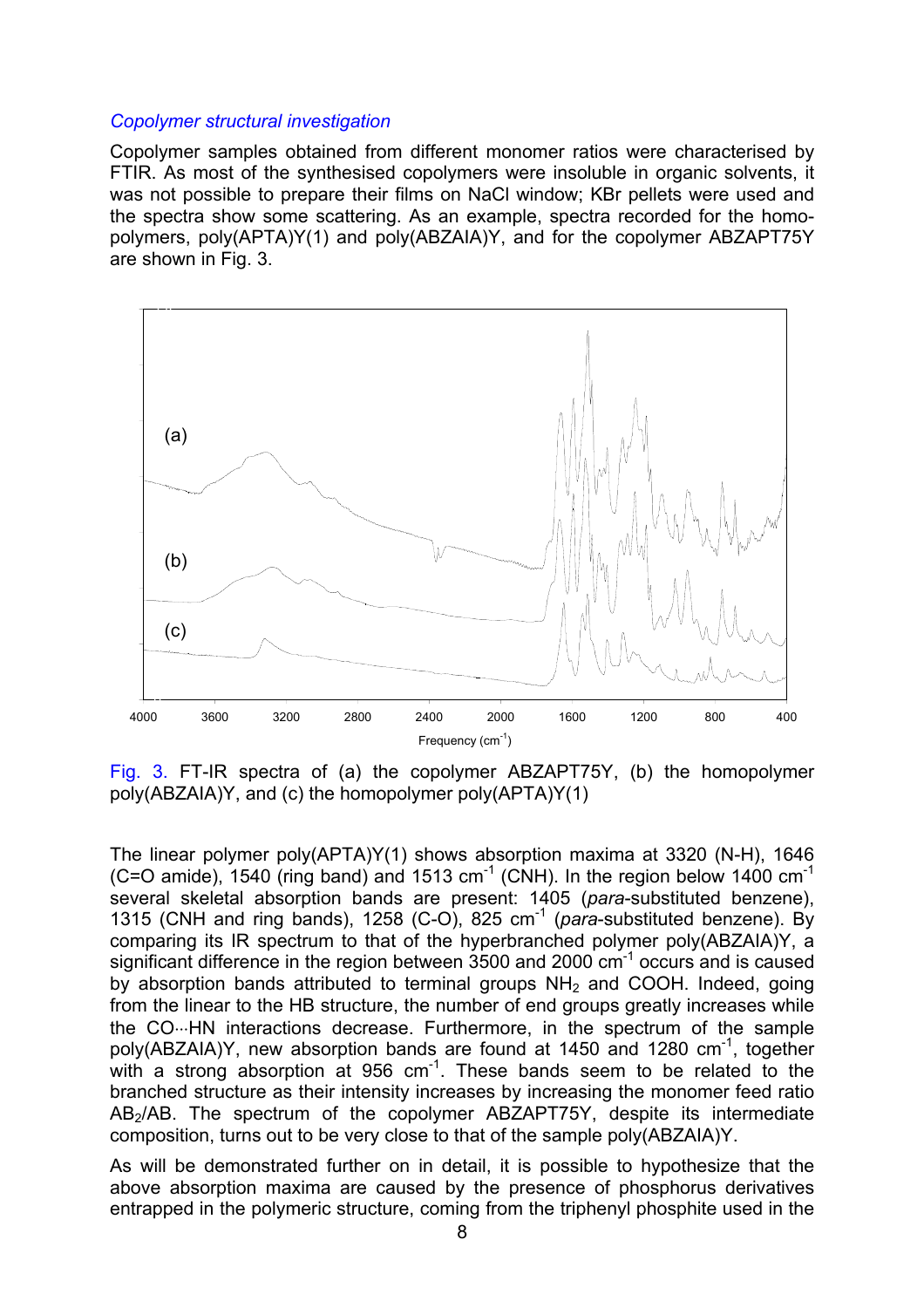#### *Copolymer structural investigation*

Copolymer samples obtained from different monomer ratios were characterised by FTIR. As most of the synthesised copolymers were insoluble in organic solvents, it was not possible to prepare their films on NaCl window; KBr pellets were used and the spectra show some scattering. As an example, spectra recorded for the homopolymers, poly(APTA)Y(1) and poly(ABZAIA)Y, and for the copolymer ABZAPT75Y are shown in Fig. 3.



Fig. 3. FT-IR spectra of (a) the copolymer ABZAPT75Y, (b) the homopolymer poly(ABZAIA)Y, and (c) the homopolymer poly(APTA)Y(1)

The linear polymer poly(APTA)Y(1) shows absorption maxima at 3320 (N-H), 1646  $(C=O$  amide), 1540 (ring band) and 1513 cm<sup>-1</sup> (CNH). In the region below 1400 cm<sup>-1</sup> several skeletal absorption bands are present: 1405 (*para*-substituted benzene), 1315 (CNH and ring bands), 1258 (C-O), 825 cm-1 (*para*-substituted benzene). By comparing its IR spectrum to that of the hyperbranched polymer poly(ABZAIA)Y, a significant difference in the region between  $3500$  and  $2000$   $cm^{-1}$  occurs and is caused by absorption bands attributed to terminal groups  $NH<sub>2</sub>$  and COOH. Indeed, going from the linear to the HB structure, the number of end groups greatly increases while the CO…HN interactions decrease. Furthermore, in the spectrum of the sample poly(ABZAIA)Y, new absorption bands are found at 1450 and 1280  $cm^{-1}$ , together with a strong absorption at  $956 \text{ cm}^{-1}$ . These bands seem to be related to the branched structure as their intensity increases by increasing the monomer feed ratio AB2/AB. The spectrum of the copolymer ABZAPT75Y, despite its intermediate composition, turns out to be very close to that of the sample poly(ABZAIA)Y.

As will be demonstrated further on in detail, it is possible to hypothesize that the above absorption maxima are caused by the presence of phosphorus derivatives entrapped in the polymeric structure, coming from the triphenyl phosphite used in the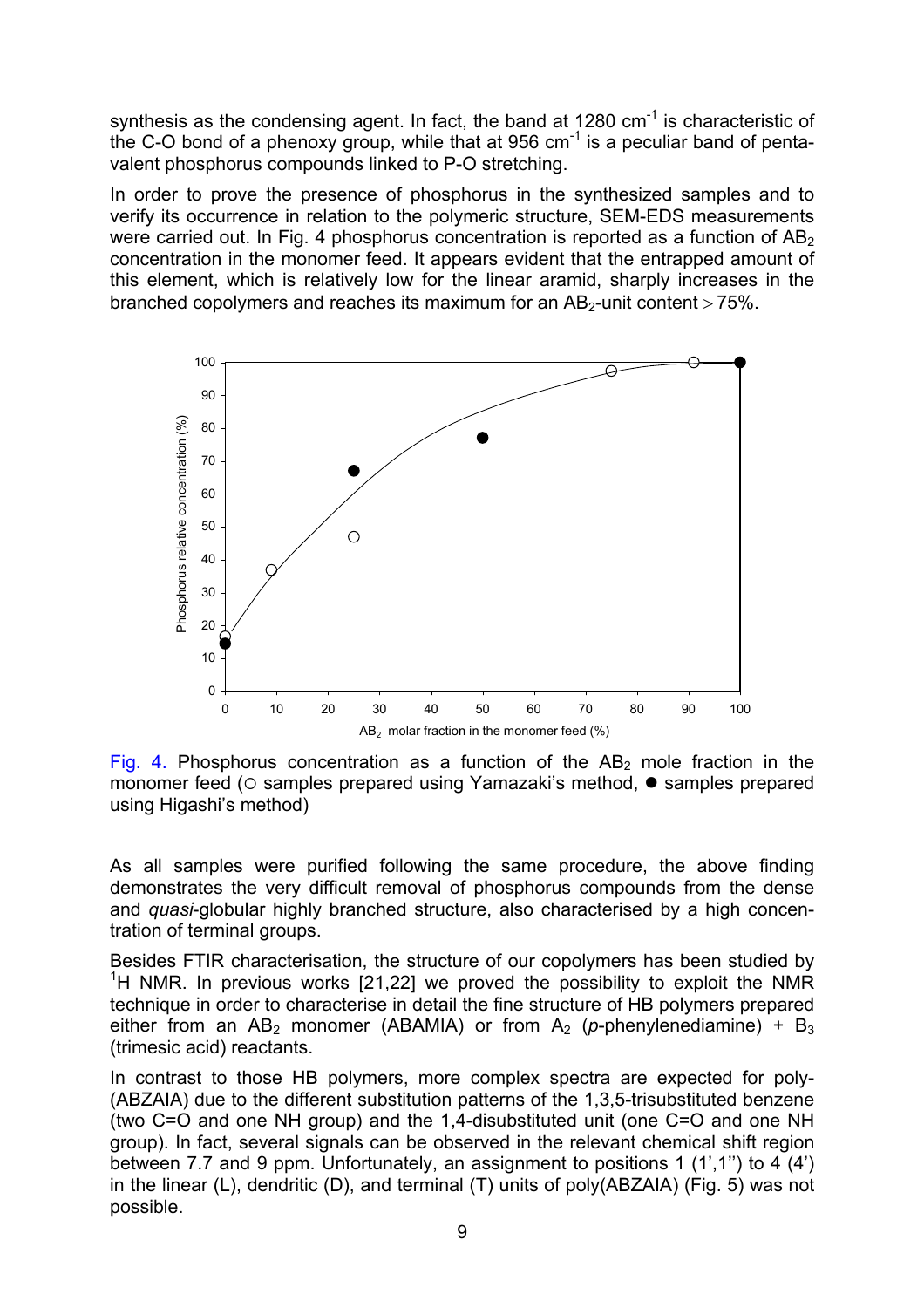synthesis as the condensing agent. In fact, the band at  $1280 \text{ cm}^{-1}$  is characteristic of the C-O bond of a phenoxy group, while that at 956  $cm<sup>-1</sup>$  is a peculiar band of pentavalent phosphorus compounds linked to P-O stretching.

In order to prove the presence of phosphorus in the synthesized samples and to verify its occurrence in relation to the polymeric structure, SEM-EDS measurements were carried out. In Fig. 4 phosphorus concentration is reported as a function of  $AB<sub>2</sub>$ concentration in the monomer feed. It appears evident that the entrapped amount of this element, which is relatively low for the linear aramid, sharply increases in the branched copolymers and reaches its maximum for an  $AB<sub>2</sub>$ -unit content  $> 75\%$ .



Fig. 4. Phosphorus concentration as a function of the  $AB<sub>2</sub>$  mole fraction in the monomer feed ( $\circ$  samples prepared using Yamazaki's method,  $\bullet$  samples prepared using Higashi's method)

As all samples were purified following the same procedure, the above finding demonstrates the very difficult removal of phosphorus compounds from the dense and *quasi*-globular highly branched structure, also characterised by a high concentration of terminal groups.

Besides FTIR characterisation, the structure of our copolymers has been studied by <sup>1</sup>H NMR. In previous works [21,22] we proved the possibility to exploit the NMR technique in order to characterise in detail the fine structure of HB polymers prepared either from an  $AB_2$  monomer (ABAMIA) or from  $A_2$  (*p*-phenylenediamine) +  $B_3$ (trimesic acid) reactants.

In contrast to those HB polymers, more complex spectra are expected for poly- (ABZAIA) due to the different substitution patterns of the 1,3,5-trisubstituted benzene (two C=O and one NH group) and the 1,4-disubstituted unit (one C=O and one NH group). In fact, several signals can be observed in the relevant chemical shift region between 7.7 and 9 ppm. Unfortunately, an assignment to positions 1 (1',1'') to 4 (4') in the linear (L), dendritic (D), and terminal (T) units of poly(ABZAIA) (Fig. 5) was not possible.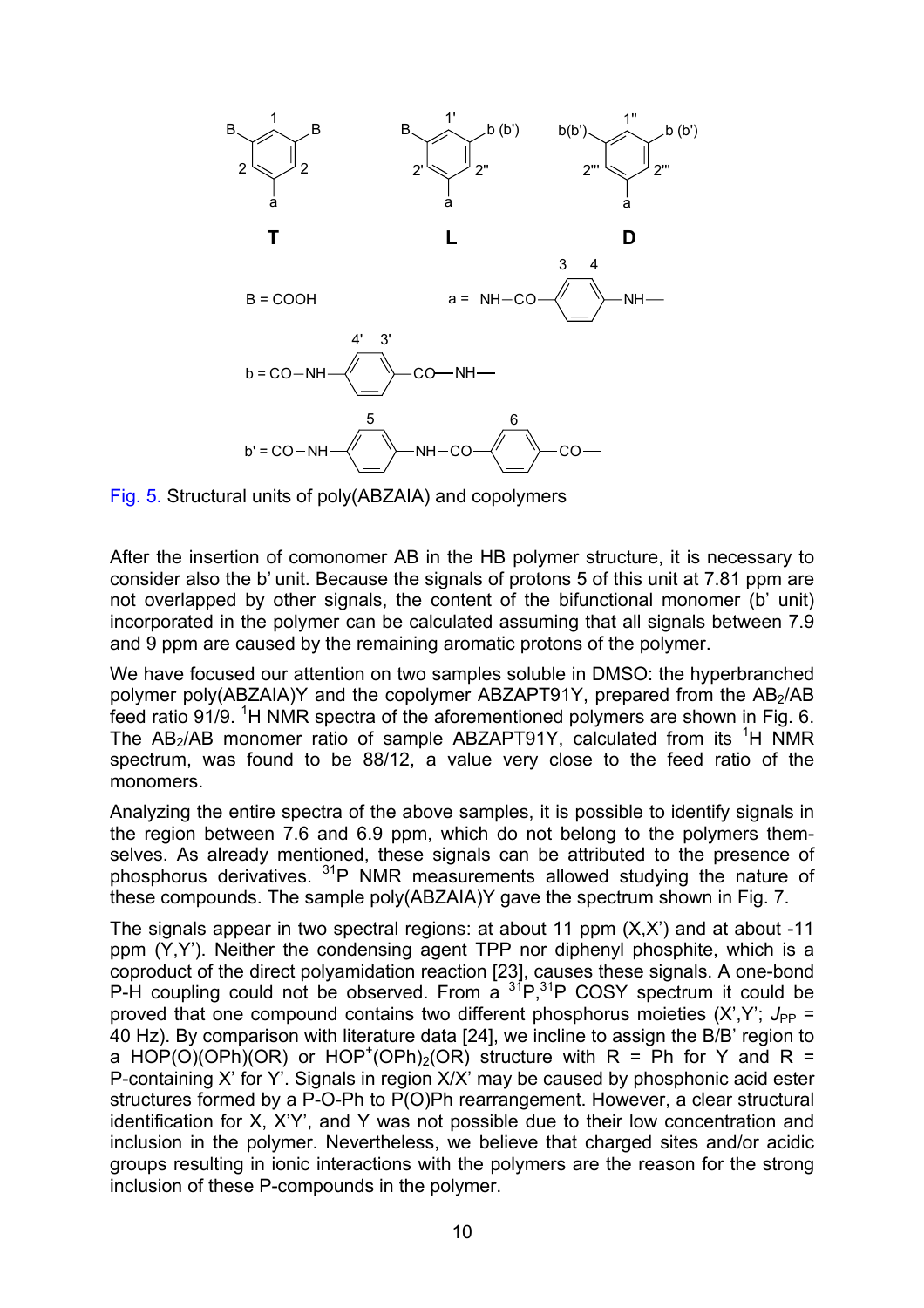

Fig. 5. Structural units of poly(ABZAIA) and copolymers

After the insertion of comonomer AB in the HB polymer structure, it is necessary to consider also the b' unit. Because the signals of protons 5 of this unit at 7.81 ppm are not overlapped by other signals, the content of the bifunctional monomer (b' unit) incorporated in the polymer can be calculated assuming that all signals between 7.9 and 9 ppm are caused by the remaining aromatic protons of the polymer.

We have focused our attention on two samples soluble in DMSO: the hyperbranched polymer poly(ABZAIA)Y and the copolymer ABZAPT91Y, prepared from the AB<sub>2</sub>/AB feed ratio 91/9. <sup>1</sup>H NMR spectra of the aforementioned polymers are shown in Fig. 6. The AB<sub>2</sub>/AB monomer ratio of sample ABZAPT91Y, calculated from its  ${}^{1}H$  NMR spectrum, was found to be 88/12, a value very close to the feed ratio of the monomers.

Analyzing the entire spectra of the above samples, it is possible to identify signals in the region between 7.6 and 6.9 ppm, which do not belong to the polymers themselves. As already mentioned, these signals can be attributed to the presence of phosphorus derivatives. 31P NMR measurements allowed studying the nature of these compounds. The sample poly(ABZAIA)Y gave the spectrum shown in Fig. 7.

The signals appear in two spectral regions: at about 11 ppm (X,X') and at about -11 ppm (Y,Y'). Neither the condensing agent TPP nor diphenyl phosphite, which is a coproduct of the direct polyamidation reaction [23], causes these signals. A one-bond P-H coupling could not be observed. From a  ${}^{31}P, {}^{31}P$  COSY spectrum it could be proved that one compound contains two different phosphorus moieties  $(X,Y)$ ;  $J_{PP}$  = 40 Hz). By comparison with literature data [24], we incline to assign the B/B' region to a HOP(O)(OPh)(OR) or HOP<sup>+</sup>(OPh)<sub>2</sub>(OR) structure with R = Ph for Y and R = P-containing X' for Y'. Signals in region X/X' may be caused by phosphonic acid ester structures formed by a P-O-Ph to P(O)Ph rearrangement. However, a clear structural identification for X, X'Y', and Y was not possible due to their low concentration and inclusion in the polymer. Nevertheless, we believe that charged sites and/or acidic groups resulting in ionic interactions with the polymers are the reason for the strong inclusion of these P-compounds in the polymer.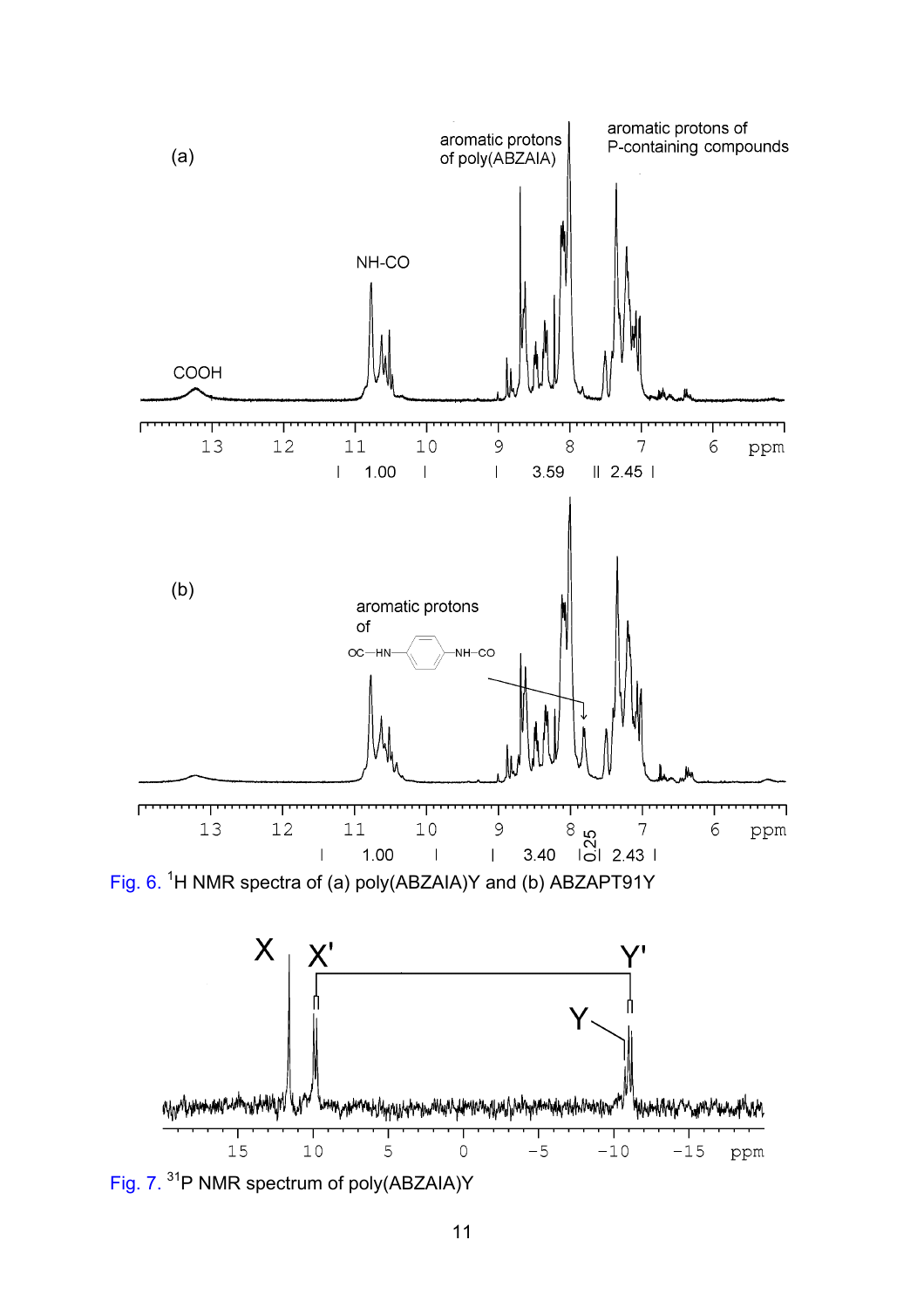

Fig. 7. 31P NMR spectrum of poly(ABZAIA)Y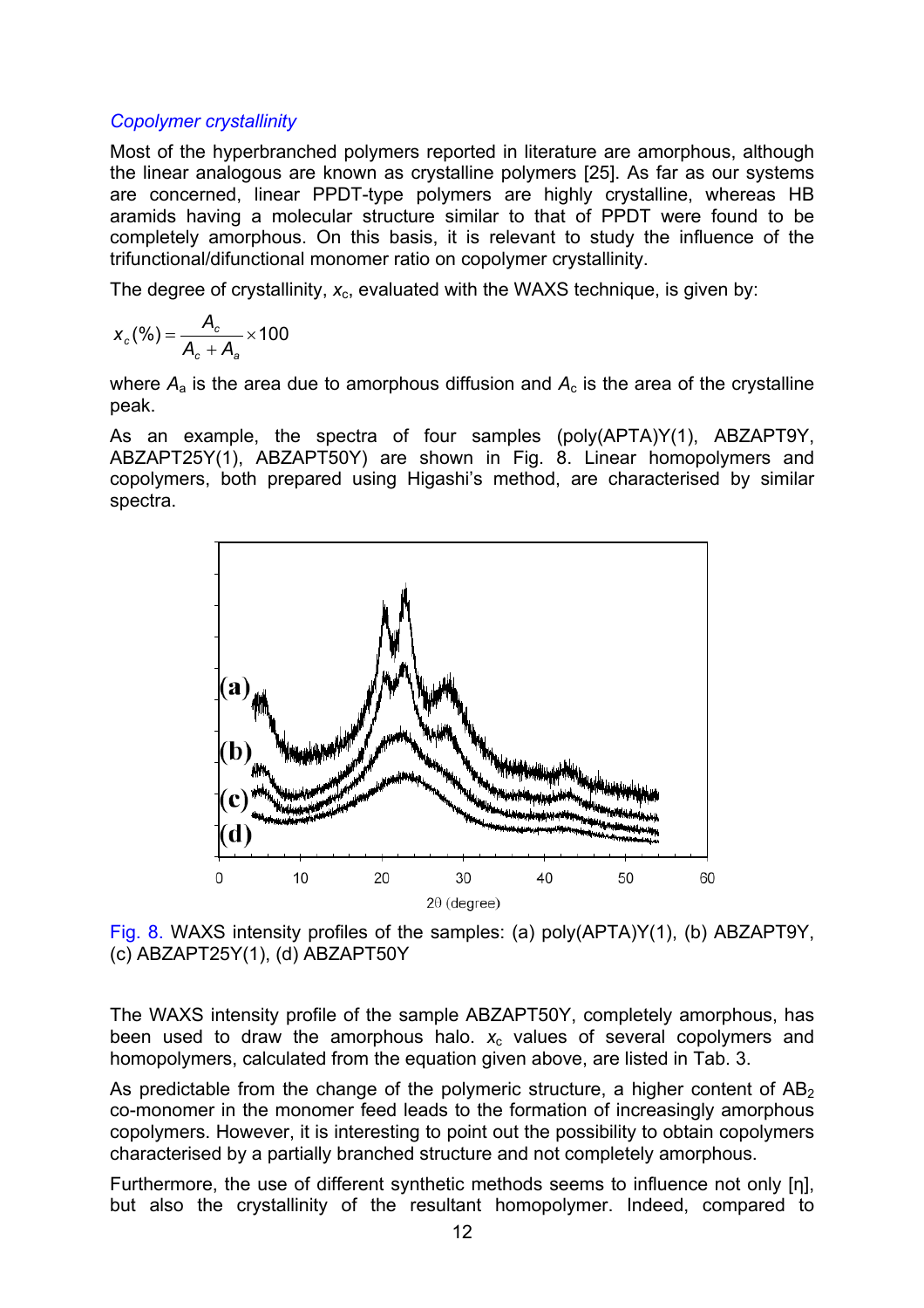### *Copolymer crystallinity*

Most of the hyperbranched polymers reported in literature are amorphous, although the linear analogous are known as crystalline polymers [25]. As far as our systems are concerned, linear PPDT-type polymers are highly crystalline, whereas HB aramids having a molecular structure similar to that of PPDT were found to be completely amorphous. On this basis, it is relevant to study the influence of the trifunctional/difunctional monomer ratio on copolymer crystallinity.

The degree of crystallinity,  $x_c$ , evaluated with the WAXS technique, is given by:

$$
X_c(\%) = \frac{A_c}{A_c + A_a} \times 100
$$

where  $A_a$  is the area due to amorphous diffusion and  $A_c$  is the area of the crystalline peak.

As an example, the spectra of four samples (poly(APTA)Y(1), ABZAPT9Y, ABZAPT25Y(1), ABZAPT50Y) are shown in Fig. 8. Linear homopolymers and copolymers, both prepared using Higashi's method, are characterised by similar spectra.



Fig. 8. WAXS intensity profiles of the samples: (a) poly(APTA)Y(1), (b) ABZAPT9Y, (c) ABZAPT25Y(1), (d) ABZAPT50Y

The WAXS intensity profile of the sample ABZAPT50Y, completely amorphous, has been used to draw the amorphous halo.  $x_c$  values of several copolymers and homopolymers, calculated from the equation given above, are listed in Tab. 3.

As predictable from the change of the polymeric structure, a higher content of  $AB<sub>2</sub>$ co-monomer in the monomer feed leads to the formation of increasingly amorphous copolymers. However, it is interesting to point out the possibility to obtain copolymers characterised by a partially branched structure and not completely amorphous.

Furthermore, the use of different synthetic methods seems to influence not only [η], but also the crystallinity of the resultant homopolymer. Indeed, compared to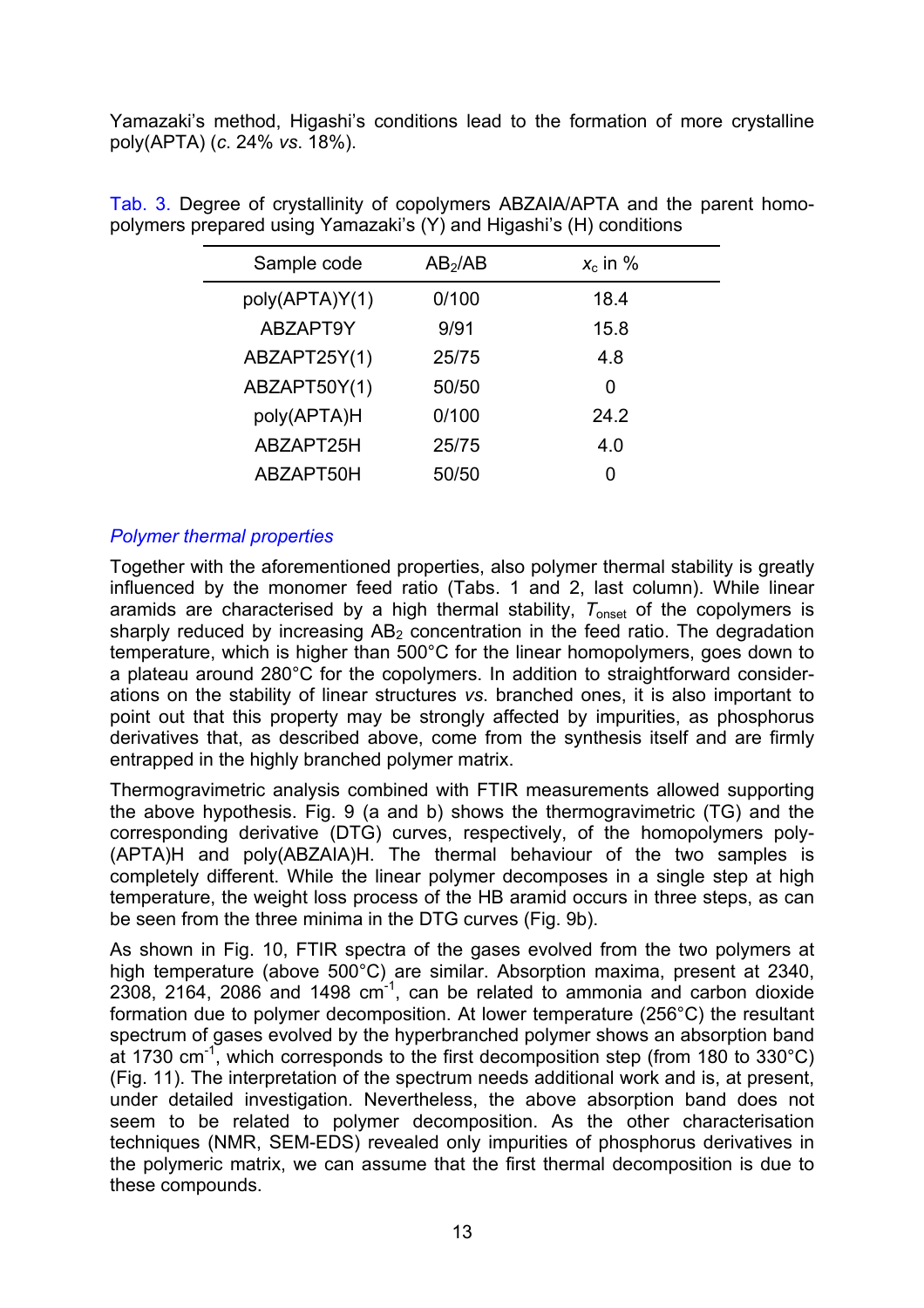Yamazaki's method, Higashi's conditions lead to the formation of more crystalline poly(APTA) (*c*. 24% *vs*. 18%).

| Sample code    | AB <sub>2</sub> /AB | $x_c$ in % |
|----------------|---------------------|------------|
| poly(APTA)Y(1) | 0/100               | 18.4       |
| ABZAPT9Y       | 9/91                | 15.8       |
| ABZAPT25Y(1)   | 25/75               | 4.8        |
| ABZAPT50Y(1)   | 50/50               | 0          |
| poly(APTA)H    | 0/100               | 24.2       |
| ABZAPT25H      | 25/75               | 4.0        |
| ABZAPT50H      | 50/50               |            |

Tab. 3. Degree of crystallinity of copolymers ABZAIA/APTA and the parent homopolymers prepared using Yamazaki's (Y) and Higashi's (H) conditions

## *Polymer thermal properties*

Together with the aforementioned properties, also polymer thermal stability is greatly influenced by the monomer feed ratio (Tabs. 1 and 2, last column). While linear aramids are characterised by a high thermal stability,  $T_{\text{onset}}$  of the copolymers is sharply reduced by increasing  $AB<sub>2</sub>$  concentration in the feed ratio. The degradation temperature, which is higher than 500°C for the linear homopolymers, goes down to a plateau around 280°C for the copolymers. In addition to straightforward considerations on the stability of linear structures *vs*. branched ones, it is also important to point out that this property may be strongly affected by impurities, as phosphorus derivatives that, as described above, come from the synthesis itself and are firmly entrapped in the highly branched polymer matrix.

Thermogravimetric analysis combined with FTIR measurements allowed supporting the above hypothesis. Fig. 9 (a and b) shows the thermogravimetric (TG) and the corresponding derivative (DTG) curves, respectively, of the homopolymers poly- (APTA)H and poly(ABZAIA)H. The thermal behaviour of the two samples is completely different. While the linear polymer decomposes in a single step at high temperature, the weight loss process of the HB aramid occurs in three steps, as can be seen from the three minima in the DTG curves (Fig. 9b).

As shown in Fig. 10, FTIR spectra of the gases evolved from the two polymers at high temperature (above 500°C) are similar. Absorption maxima, present at 2340, 2308, 2164, 2086 and 1498  $cm^{-1}$ , can be related to ammonia and carbon dioxide formation due to polymer decomposition. At lower temperature (256°C) the resultant spectrum of gases evolved by the hyperbranched polymer shows an absorption band at 1730 cm<sup>-1</sup>, which corresponds to the first decomposition step (from 180 to 330 $^{\circ}$ C) (Fig. 11). The interpretation of the spectrum needs additional work and is, at present, under detailed investigation. Nevertheless, the above absorption band does not seem to be related to polymer decomposition. As the other characterisation techniques (NMR, SEM-EDS) revealed only impurities of phosphorus derivatives in the polymeric matrix, we can assume that the first thermal decomposition is due to these compounds.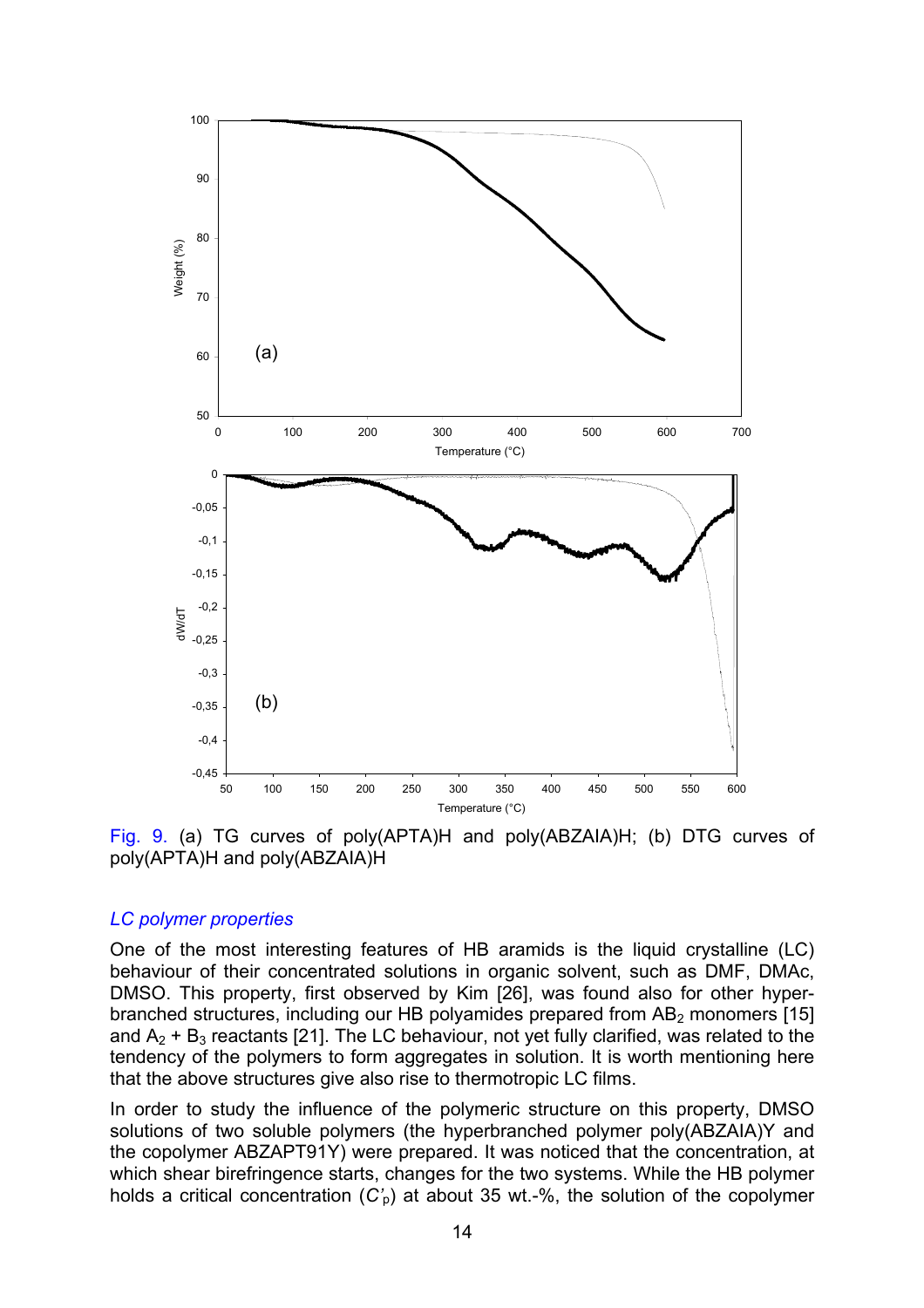

Fig. 9. (a) TG curves of poly(APTA)H and poly(ABZAIA)H; (b) DTG curves of poly(APTA)H and poly(ABZAIA)H

#### *LC polymer properties*

One of the most interesting features of HB aramids is the liquid crystalline (LC) behaviour of their concentrated solutions in organic solvent, such as DMF, DMAc, DMSO. This property, first observed by Kim [26], was found also for other hyperbranched structures, including our HB polyamides prepared from  $AB<sub>2</sub>$  monomers [15] and  $A_2$  +  $B_3$  reactants [21]. The LC behaviour, not yet fully clarified, was related to the tendency of the polymers to form aggregates in solution. It is worth mentioning here that the above structures give also rise to thermotropic LC films.

In order to study the influence of the polymeric structure on this property, DMSO solutions of two soluble polymers (the hyperbranched polymer poly(ABZAIA)Y and the copolymer ABZAPT91Y) were prepared. It was noticed that the concentration, at which shear birefringence starts, changes for the two systems. While the HB polymer holds a critical concentration (*C'*p) at about 35 wt.-%, the solution of the copolymer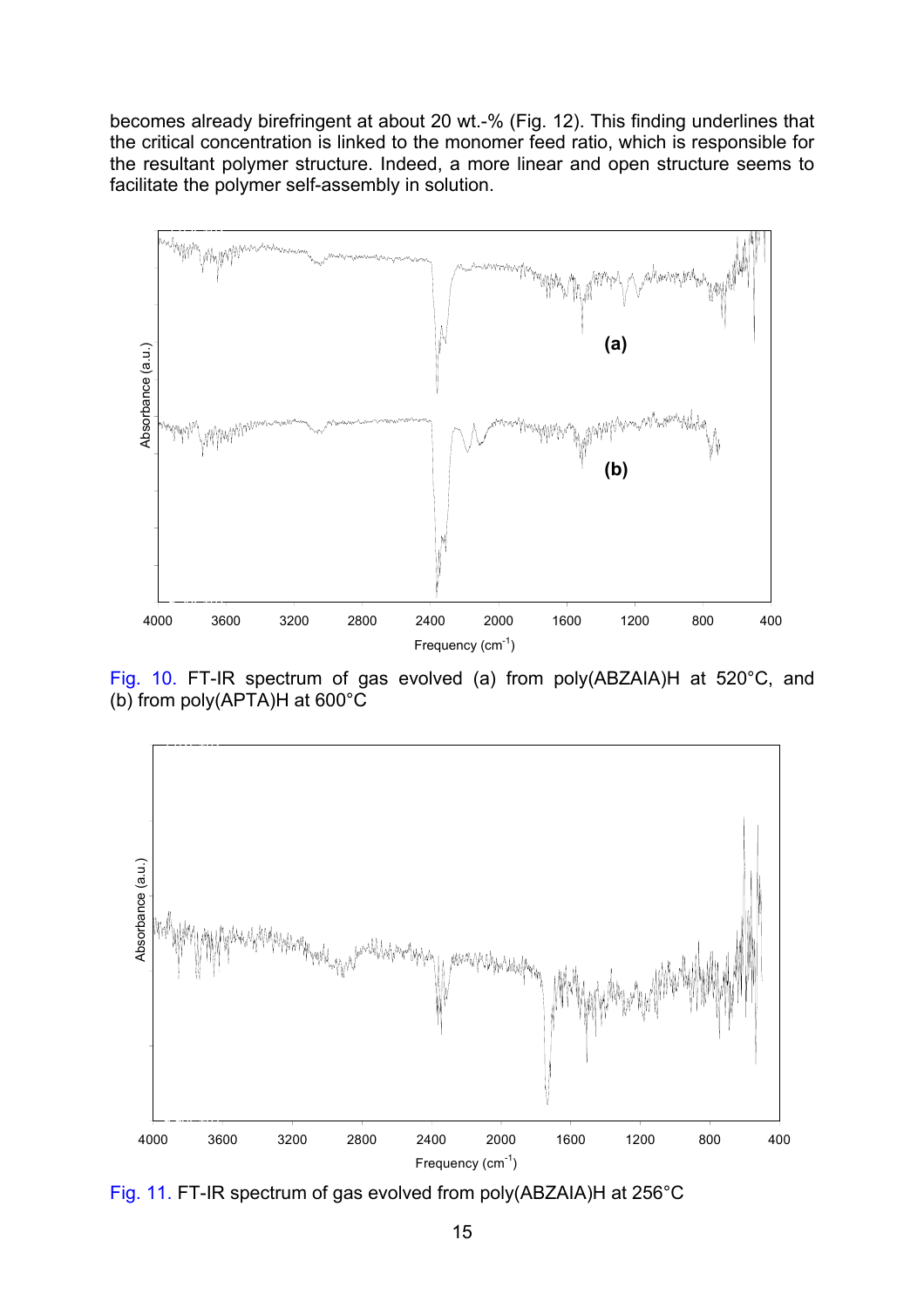becomes already birefringent at about 20 wt.-% (Fig. 12). This finding underlines that the critical concentration is linked to the monomer feed ratio, which is responsible for the resultant polymer structure. Indeed, a more linear and open structure seems to facilitate the polymer self-assembly in solution.



Fig. 10. FT-IR spectrum of gas evolved (a) from poly(ABZAIA)H at 520°C, and (b) from poly(APTA)H at 600°C



Fig. 11. FT-IR spectrum of gas evolved from poly(ABZAIA)H at 256°C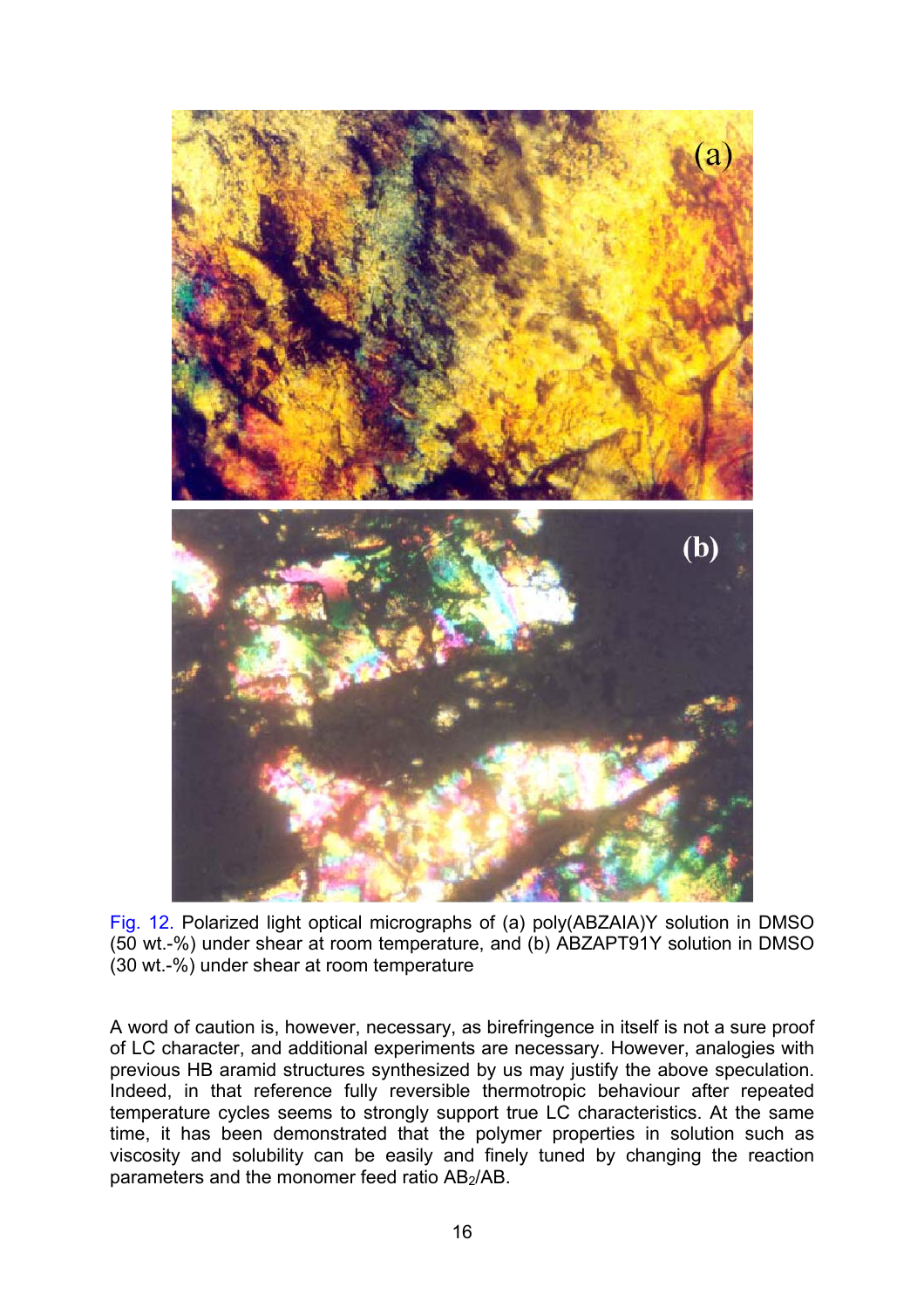

Fig. 12. Polarized light optical micrographs of (a) poly(ABZAIA)Y solution in DMSO (50 wt.-%) under shear at room temperature, and (b) ABZAPT91Y solution in DMSO (30 wt.-%) under shear at room temperature

A word of caution is, however, necessary, as birefringence in itself is not a sure proof of LC character, and additional experiments are necessary. However, analogies with previous HB aramid structures synthesized by us may justify the above speculation. Indeed, in that reference fully reversible thermotropic behaviour after repeated temperature cycles seems to strongly support true LC characteristics. At the same time, it has been demonstrated that the polymer properties in solution such as viscosity and solubility can be easily and finely tuned by changing the reaction parameters and the monomer feed ratio AB<sub>2</sub>/AB.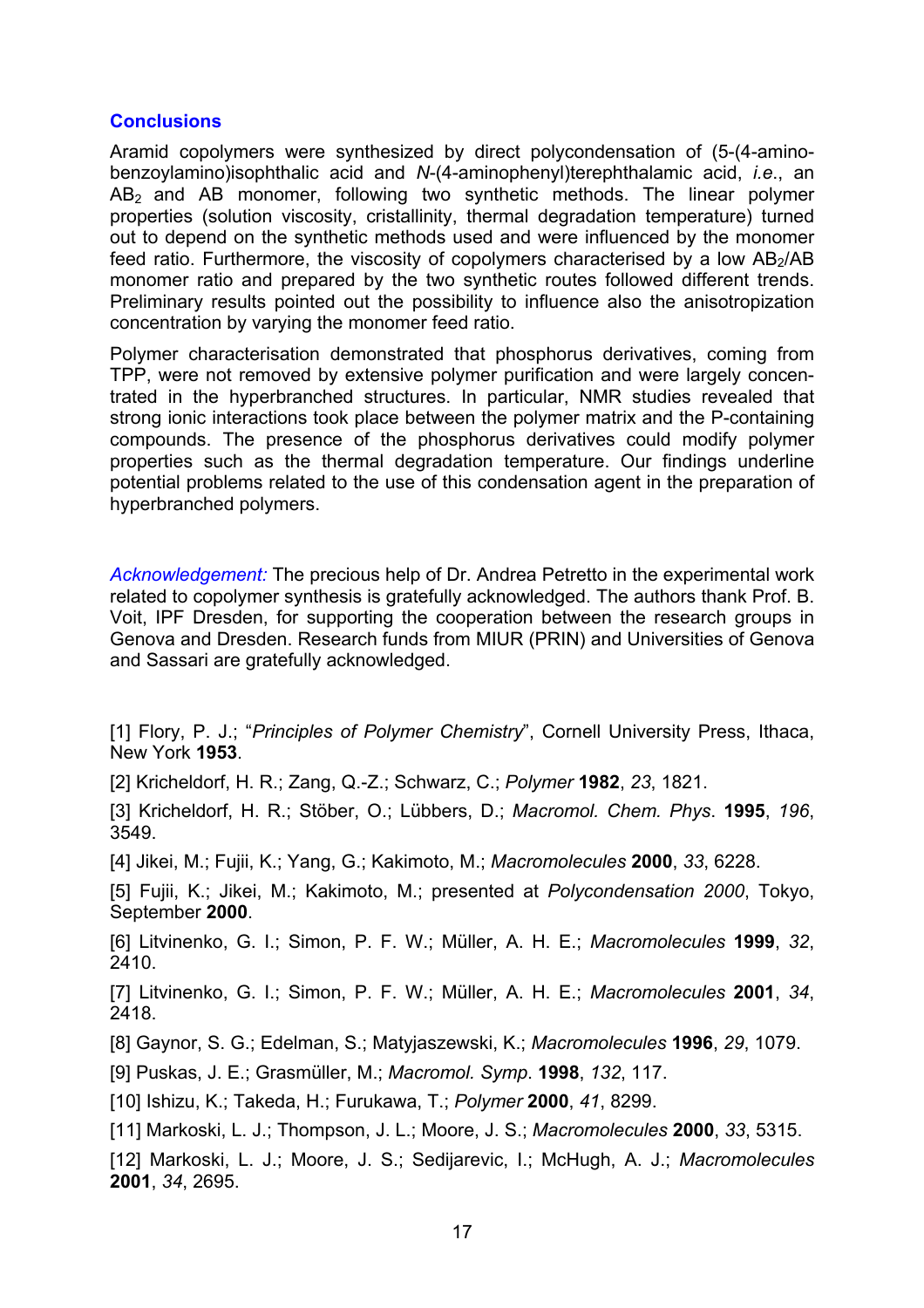#### **Conclusions**

Aramid copolymers were synthesized by direct polycondensation of (5-(4-aminobenzoylamino)isophthalic acid and *N*-(4-aminophenyl)terephthalamic acid, *i.e*., an  $AB<sub>2</sub>$  and AB monomer, following two synthetic methods. The linear polymer properties (solution viscosity, cristallinity, thermal degradation temperature) turned out to depend on the synthetic methods used and were influenced by the monomer feed ratio. Furthermore, the viscosity of copolymers characterised by a low  $AB<sub>2</sub>/AB$ monomer ratio and prepared by the two synthetic routes followed different trends. Preliminary results pointed out the possibility to influence also the anisotropization concentration by varying the monomer feed ratio.

Polymer characterisation demonstrated that phosphorus derivatives, coming from TPP, were not removed by extensive polymer purification and were largely concentrated in the hyperbranched structures. In particular, NMR studies revealed that strong ionic interactions took place between the polymer matrix and the P-containing compounds. The presence of the phosphorus derivatives could modify polymer properties such as the thermal degradation temperature. Our findings underline potential problems related to the use of this condensation agent in the preparation of hyperbranched polymers.

*Acknowledgement:* The precious help of Dr. Andrea Petretto in the experimental work related to copolymer synthesis is gratefully acknowledged. The authors thank Prof. B. Voit, IPF Dresden, for supporting the cooperation between the research groups in Genova and Dresden. Research funds from MIUR (PRIN) and Universities of Genova and Sassari are gratefully acknowledged.

[1] Flory, P. J.; "*Principles of Polymer Chemistry*", Cornell University Press, Ithaca, New York **1953**.

[2] Kricheldorf, H. R.; Zang, Q.-Z.; Schwarz, C.; *Polymer* **1982**, *23*, 1821.

[3] Kricheldorf, H. R.; Stöber, O.; Lübbers, D.; *Macromol. Chem. Phys*. **1995**, *196*, 3549.

[4] Jikei, M.; Fujii, K.; Yang, G.; Kakimoto, M.; *Macromolecules* **2000**, *33*, 6228.

[5] Fujii, K.; Jikei, M.; Kakimoto, M.; presented at *Polycondensation 2000*, Tokyo, September **2000**.

[6] Litvinenko, G. I.; Simon, P. F. W.; Müller, A. H. E.; *Macromolecules* **1999**, *32*, 2410.

[7] Litvinenko, G. I.; Simon, P. F. W.; Müller, A. H. E.; *Macromolecules* **2001**, *34*, 2418.

[8] Gaynor, S. G.; Edelman, S.; Matyjaszewski, K.; *Macromolecules* **1996**, *29*, 1079.

[9] Puskas, J. E.; Grasmüller, M.; *Macromol. Symp*. **1998**, *132*, 117.

[10] Ishizu, K.; Takeda, H.; Furukawa, T.; *Polymer* **2000**, *41*, 8299.

[11] Markoski, L. J.; Thompson, J. L.; Moore, J. S.; *Macromolecules* **2000**, *33*, 5315.

[12] Markoski, L. J.; Moore, J. S.; Sedijarevic, I.; McHugh, A. J.; *Macromolecules* **2001**, *34*, 2695.